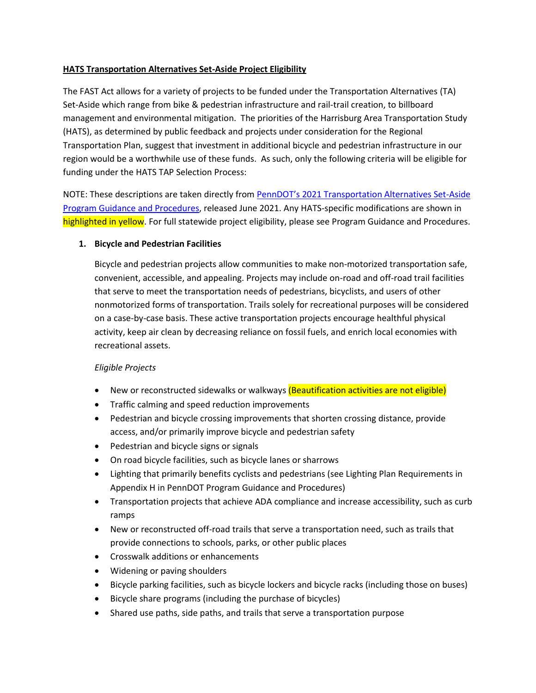## **HATS Transportation Alternatives Set-Aside Project Eligibility**

The FAST Act allows for a variety of projects to be funded under the Transportation Alternatives (TA) Set-Aside which range from bike & pedestrian infrastructure and rail-trail creation, to billboard management and environmental mitigation. The priorities of the Harrisburg Area Transportation Study (HATS), as determined by public feedback and projects under consideration for the Regional Transportation Plan, suggest that investment in additional bicycle and pedestrian infrastructure in our region would be a worthwhile use of these funds. As such, only the following criteria will be eligible for funding under the HATS TAP Selection Process:

NOTE: These descriptions are taken directly from PennDOT's 2021 [Transportation Alternatives Set-Aside](https://www.penndot.gov/ProjectAndPrograms/Planning/Documents/cpdm/TASA/TASA%20Statewide%20Program%20Guidance.pdf)  [Program Guidance and Procedures,](https://www.penndot.gov/ProjectAndPrograms/Planning/Documents/cpdm/TASA/TASA%20Statewide%20Program%20Guidance.pdf) released June 2021. Any HATS-specific modifications are shown in highlighted in yellow. For full statewide project eligibility, please see Program Guidance and Procedures.

## **1. Bicycle and Pedestrian Facilities**

Bicycle and pedestrian projects allow communities to make non-motorized transportation safe, convenient, accessible, and appealing. Projects may include on-road and off-road trail facilities that serve to meet the transportation needs of pedestrians, bicyclists, and users of other nonmotorized forms of transportation. Trails solely for recreational purposes will be considered on a case-by-case basis. These active transportation projects encourage healthful physical activity, keep air clean by decreasing reliance on fossil fuels, and enrich local economies with recreational assets.

#### *Eligible Projects*

- New or reconstructed sidewalks or walkways (Beautification activities are not eligible)
- Traffic calming and speed reduction improvements
- Pedestrian and bicycle crossing improvements that shorten crossing distance, provide access, and/or primarily improve bicycle and pedestrian safety
- Pedestrian and bicycle signs or signals
- On road bicycle facilities, such as bicycle lanes or sharrows
- Lighting that primarily benefits cyclists and pedestrians (see Lighting Plan Requirements in Appendix H in PennDOT Program Guidance and Procedures)
- Transportation projects that achieve ADA compliance and increase accessibility, such as curb ramps
- New or reconstructed off-road trails that serve a transportation need, such as trails that provide connections to schools, parks, or other public places
- Crosswalk additions or enhancements
- Widening or paving shoulders
- Bicycle parking facilities, such as bicycle lockers and bicycle racks (including those on buses)
- Bicycle share programs (including the purchase of bicycles)
- Shared use paths, side paths, and trails that serve a transportation purpose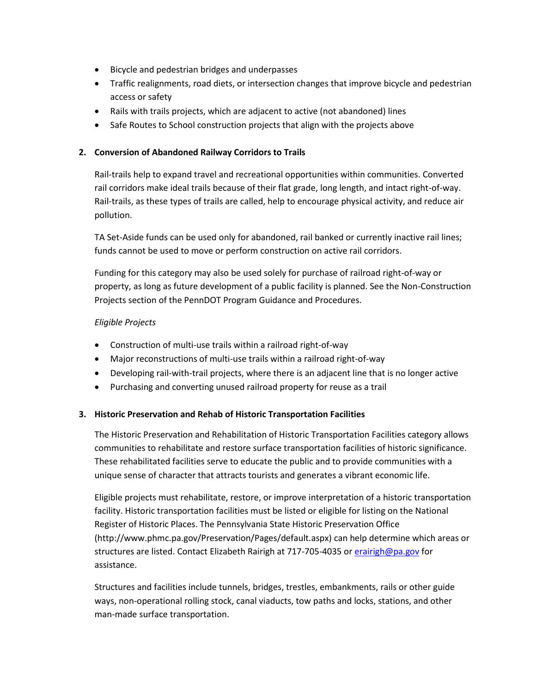- Bicycle and pedestrian bridges and underpasses
- Traffic realignments, road diets, or intersection changes that improve bicycle and pedestrian access or safety
- Rails with trails projects, which are adjacent to active (not abandoned) lines
- Safe Routes to School construction projects that align with the projects above

# **2. Conversion of Abandoned Railway Corridors to Trails**

Rail-trails help to expand travel and recreational opportunities within communities. Converted rail corridors make ideal trails because of their flat grade, long length, and intact right-of-way. Rail-trails, as these types of trails are called, help to encourage physical activity, and reduce air pollution.

TA Set-Aside funds can be used only for abandoned, rail banked or currently inactive rail lines; funds cannot be used to move or perform construction on active rail corridors.

Funding for this category may also be used solely for purchase of railroad right-of-way or property, as long as future development of a public facility is planned. See the Non-Construction Projects section of the PennDOT Program Guidance and Procedures.

## *Eligible Projects*

- Construction of multi-use trails within a railroad right-of-way
- Major reconstructions of multi-use trails within a railroad right-of-way
- Developing rail-with-trail projects, where there is an adjacent line that is no longer active
- Purchasing and converting unused railroad property for reuse as a trail

#### **3. Historic Preservation and Rehab of Historic Transportation Facilities**

The Historic Preservation and Rehabilitation of Historic Transportation Facilities category allows communities to rehabilitate and restore surface transportation facilities of historic significance. These rehabilitated facilities serve to educate the public and to provide communities with a unique sense of character that attracts tourists and generates a vibrant economic life.

Eligible projects must rehabilitate, restore, or improve interpretation of a historic transportation facility. Historic transportation facilities must be listed or eligible for listing on the National Register of Historic Places. The Pennsylvania State Historic Preservation Office (http://www.phmc.pa.gov/Preservation/Pages/default.aspx) can help determine which areas or structures are listed. Contact Elizabeth Rairigh at 717-705-4035 or [erairigh@pa.gov](mailto:erairigh@pa.gov) for assistance.

Structures and facilities include tunnels, bridges, trestles, embankments, rails or other guide ways, non-operational rolling stock, canal viaducts, tow paths and locks, stations, and other man-made surface transportation.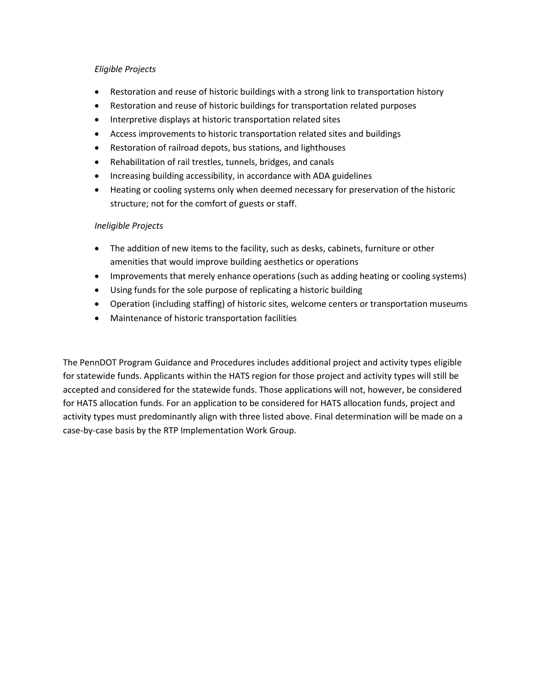## *Eligible Projects*

- Restoration and reuse of historic buildings with a strong link to transportation history
- Restoration and reuse of historic buildings for transportation related purposes
- **•** Interpretive displays at historic transportation related sites
- Access improvements to historic transportation related sites and buildings
- Restoration of railroad depots, bus stations, and lighthouses
- Rehabilitation of rail trestles, tunnels, bridges, and canals
- Increasing building accessibility, in accordance with ADA guidelines
- Heating or cooling systems only when deemed necessary for preservation of the historic structure; not for the comfort of guests or staff.

## *Ineligible Projects*

- The addition of new items to the facility, such as desks, cabinets, furniture or other amenities that would improve building aesthetics or operations
- Improvements that merely enhance operations (such as adding heating or cooling systems)
- Using funds for the sole purpose of replicating a historic building
- Operation (including staffing) of historic sites, welcome centers or transportation museums
- Maintenance of historic transportation facilities

The PennDOT Program Guidance and Procedures includes additional project and activity types eligible for statewide funds. Applicants within the HATS region for those project and activity types will still be accepted and considered for the statewide funds. Those applications will not, however, be considered for HATS allocation funds. For an application to be considered for HATS allocation funds, project and activity types must predominantly align with three listed above. Final determination will be made on a case-by-case basis by the RTP Implementation Work Group.